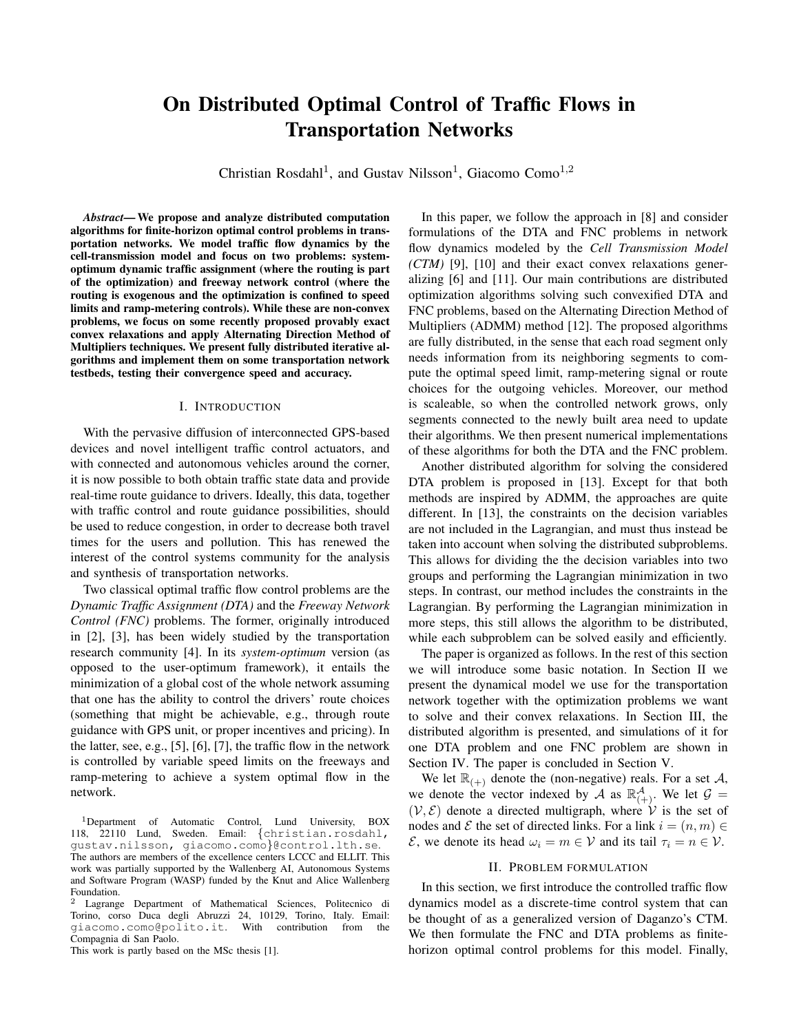# On Distributed Optimal Control of Traffic Flows in Transportation Networks

Christian Rosdahl<sup>1</sup>, and Gustav Nilsson<sup>1</sup>, Giacomo Como<sup>1,2</sup>

*Abstract*— We propose and analyze distributed computation algorithms for finite-horizon optimal control problems in transportation networks. We model traffic flow dynamics by the cell-transmission model and focus on two problems: systemoptimum dynamic traffic assignment (where the routing is part of the optimization) and freeway network control (where the routing is exogenous and the optimization is confined to speed limits and ramp-metering controls). While these are non-convex problems, we focus on some recently proposed provably exact convex relaxations and apply Alternating Direction Method of Multipliers techniques. We present fully distributed iterative algorithms and implement them on some transportation network testbeds, testing their convergence speed and accuracy.

### I. INTRODUCTION

With the pervasive diffusion of interconnected GPS-based devices and novel intelligent traffic control actuators, and with connected and autonomous vehicles around the corner, it is now possible to both obtain traffic state data and provide real-time route guidance to drivers. Ideally, this data, together with traffic control and route guidance possibilities, should be used to reduce congestion, in order to decrease both travel times for the users and pollution. This has renewed the interest of the control systems community for the analysis and synthesis of transportation networks.

Two classical optimal traffic flow control problems are the *Dynamic Traffic Assignment (DTA)* and the *Freeway Network Control (FNC)* problems. The former, originally introduced in [2], [3], has been widely studied by the transportation research community [4]. In its *system-optimum* version (as opposed to the user-optimum framework), it entails the minimization of a global cost of the whole network assuming that one has the ability to control the drivers' route choices (something that might be achievable, e.g., through route guidance with GPS unit, or proper incentives and pricing). In the latter, see, e.g., [5], [6], [7], the traffic flow in the network is controlled by variable speed limits on the freeways and ramp-metering to achieve a system optimal flow in the network.

This work is partly based on the MSc thesis [1].

In this paper, we follow the approach in [8] and consider formulations of the DTA and FNC problems in network flow dynamics modeled by the *Cell Transmission Model (CTM)* [9], [10] and their exact convex relaxations generalizing [6] and [11]. Our main contributions are distributed optimization algorithms solving such convexified DTA and FNC problems, based on the Alternating Direction Method of Multipliers (ADMM) method [12]. The proposed algorithms are fully distributed, in the sense that each road segment only needs information from its neighboring segments to compute the optimal speed limit, ramp-metering signal or route choices for the outgoing vehicles. Moreover, our method is scaleable, so when the controlled network grows, only segments connected to the newly built area need to update their algorithms. We then present numerical implementations of these algorithms for both the DTA and the FNC problem.

Another distributed algorithm for solving the considered DTA problem is proposed in [13]. Except for that both methods are inspired by ADMM, the approaches are quite different. In [13], the constraints on the decision variables are not included in the Lagrangian, and must thus instead be taken into account when solving the distributed subproblems. This allows for dividing the the decision variables into two groups and performing the Lagrangian minimization in two steps. In contrast, our method includes the constraints in the Lagrangian. By performing the Lagrangian minimization in more steps, this still allows the algorithm to be distributed, while each subproblem can be solved easily and efficiently.

The paper is organized as follows. In the rest of this section we will introduce some basic notation. In Section II we present the dynamical model we use for the transportation network together with the optimization problems we want to solve and their convex relaxations. In Section III, the distributed algorithm is presented, and simulations of it for one DTA problem and one FNC problem are shown in Section IV. The paper is concluded in Section V.

We let  $\mathbb{R}_{(+)}$  denote the (non-negative) reals. For a set A, we denote the vector indexed by A as  $\mathbb{R}^{\mathcal{A}}_{(+)}.$  We let  $\mathcal{G}$  =  $(V, \mathcal{E})$  denote a directed multigraph, where V is the set of nodes and *E* the set of directed links. For a link  $i = (n, m) \in$  $\mathcal{E}$ , we denote its head  $\omega_i = m \in \mathcal{V}$  and its tail  $\tau_i = n \in \mathcal{V}$ .

## II. PROBLEM FORMULATION

In this section, we first introduce the controlled traffic flow dynamics model as a discrete-time control system that can be thought of as a generalized version of Daganzo's CTM. We then formulate the FNC and DTA problems as finitehorizon optimal control problems for this model. Finally,

<sup>&</sup>lt;sup>1</sup>Department of Automatic Control, Lund University, BOX 118, 22110 Lund, Sweden. Email: {christian.rosdahl, gustav.nilsson, giacomo.como}@control.lth.se. The authors are members of the excellence centers LCCC and ELLIT. This work was partially supported by the Wallenberg AI, Autonomous Systems and Software Program (WASP) funded by the Knut and Alice Wallenberg Foundation.

Lagrange Department of Mathematical Sciences, Politecnico di Torino, corso Duca degli Abruzzi 24, 10129, Torino, Italy. Email: giacomo.como@polito.it. With contribution from the Compagnia di San Paolo.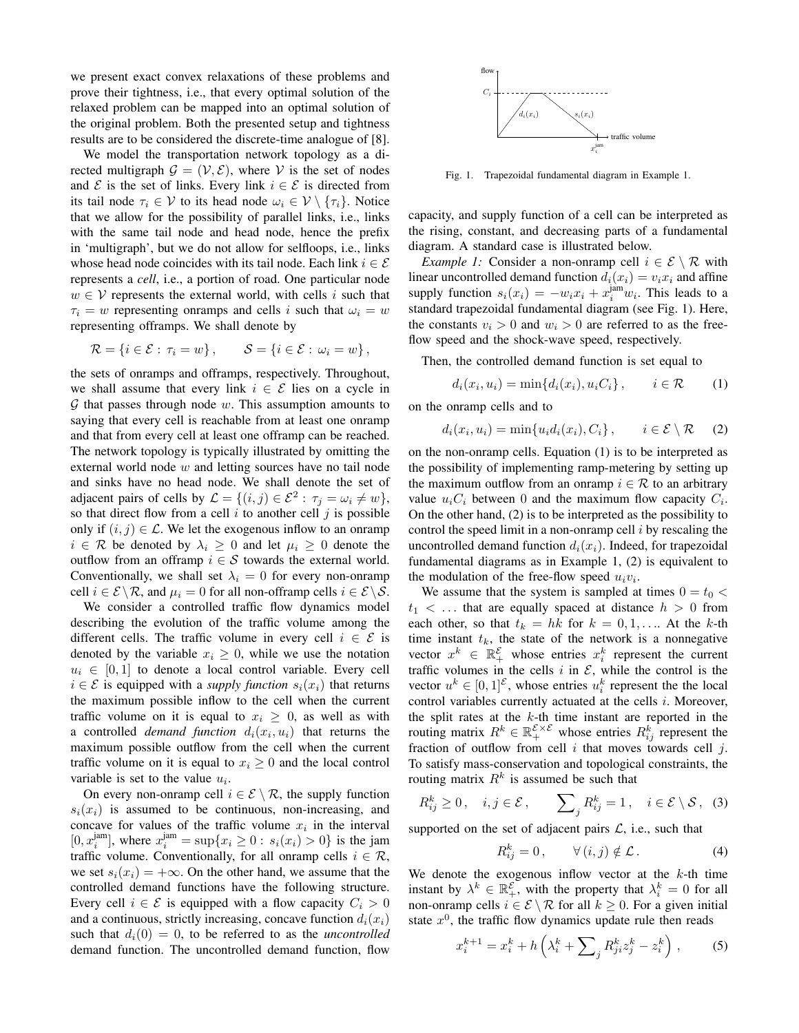we present exact convex relaxations of these problems and prove their tightness, i.e., that every optimal solution of the relaxed problem can be mapped into an optimal solution of the original problem. Both the presented setup and tightness results are to be considered the discrete-time analogue of [8].

We model the transportation network topology as a directed multigraph  $\mathcal{G} = (\mathcal{V}, \mathcal{E})$ , where V is the set of nodes and  $\mathcal E$  is the set of links. Every link  $i \in \mathcal E$  is directed from its tail node  $\tau_i \in \mathcal{V}$  to its head node  $\omega_i \in \mathcal{V} \setminus {\tau_i}$ . Notice that we allow for the possibility of parallel links, i.e., links with the same tail node and head node, hence the prefix in 'multigraph', but we do not allow for selfloops, i.e., links whose head node coincides with its tail node. Each link  $i \in \mathcal{E}$ represents a *cell*, i.e., a portion of road. One particular node  $w \in V$  represents the external world, with cells i such that  $\tau_i = w$  representing onramps and cells i such that  $\omega_i = w$ representing offramps. We shall denote by

$$
\mathcal{R} = \{i \in \mathcal{E} : \tau_i = w\}, \qquad \mathcal{S} = \{i \in \mathcal{E} : \omega_i = w\},\
$$

the sets of onramps and offramps, respectively. Throughout, we shall assume that every link  $i \in \mathcal{E}$  lies on a cycle in  $G$  that passes through node  $w$ . This assumption amounts to saying that every cell is reachable from at least one onramp and that from every cell at least one offramp can be reached. The network topology is typically illustrated by omitting the external world node w and letting sources have no tail node and sinks have no head node. We shall denote the set of adjacent pairs of cells by  $\mathcal{L} = \{ (i, j) \in \mathcal{E}^2 : \tau_j = \omega_i \neq w \},\$ so that direct flow from a cell  $i$  to another cell  $j$  is possible only if  $(i, j) \in \mathcal{L}$ . We let the exogenous inflow to an onramp  $i \in \mathcal{R}$  be denoted by  $\lambda_i \geq 0$  and let  $\mu_i \geq 0$  denote the outflow from an offramp  $i \in S$  towards the external world. Conventionally, we shall set  $\lambda_i = 0$  for every non-onramp cell  $i \in \mathcal{E} \setminus \mathcal{R}$ , and  $\mu_i = 0$  for all non-offramp cells  $i \in \mathcal{E} \setminus \mathcal{S}$ .

We consider a controlled traffic flow dynamics model describing the evolution of the traffic volume among the different cells. The traffic volume in every cell  $i \in \mathcal{E}$  is denoted by the variable  $x_i \geq 0$ , while we use the notation  $u_i \in [0, 1]$  to denote a local control variable. Every cell  $i \in \mathcal{E}$  is equipped with a *supply function*  $s_i(x_i)$  that returns the maximum possible inflow to the cell when the current traffic volume on it is equal to  $x_i \geq 0$ , as well as with a controlled *demand function*  $d_i(x_i, u_i)$  that returns the maximum possible outflow from the cell when the current traffic volume on it is equal to  $x_i \geq 0$  and the local control variable is set to the value  $u_i$ .

On every non-onramp cell  $i \in \mathcal{E} \setminus \mathcal{R}$ , the supply function  $s_i(x_i)$  is assumed to be continuous, non-increasing, and concave for values of the traffic volume  $x_i$  in the interval  $[0, x_i^{jam}]$ , where  $x_i^{jam} = \sup\{x_i \ge 0 : s_i(x_i) > 0\}$  is the jam traffic volume. Conventionally, for all onramp cells  $i \in \mathcal{R}$ , we set  $s_i(x_i) = +\infty$ . On the other hand, we assume that the controlled demand functions have the following structure. Every cell  $i \in \mathcal{E}$  is equipped with a flow capacity  $C_i > 0$ and a continuous, strictly increasing, concave function  $d_i(x_i)$ such that  $d_i(0) = 0$ , to be referred to as the *uncontrolled* demand function. The uncontrolled demand function, flow



Fig. 1. Trapezoidal fundamental diagram in Example 1.

capacity, and supply function of a cell can be interpreted as the rising, constant, and decreasing parts of a fundamental diagram. A standard case is illustrated below.

*Example 1:* Consider a non-onramp cell  $i \in \mathcal{E} \setminus \mathcal{R}$  with linear uncontrolled demand function  $d_i(x_i) = v_i x_i$  and affine supply function  $s_i(x_i) = -w_i x_i + x_i^{\text{jam}} w_i$ . This leads to a standard trapezoidal fundamental diagram (see Fig. 1). Here, the constants  $v_i > 0$  and  $w_i > 0$  are referred to as the freeflow speed and the shock-wave speed, respectively.

Then, the controlled demand function is set equal to

$$
d_i(x_i, u_i) = \min\{d_i(x_i), u_i C_i\}, \qquad i \in \mathcal{R}
$$
 (1)

on the onramp cells and to

$$
d_i(x_i, u_i) = \min\{u_i d_i(x_i), C_i\}, \qquad i \in \mathcal{E} \setminus \mathcal{R} \qquad (2)
$$

on the non-onramp cells. Equation (1) is to be interpreted as the possibility of implementing ramp-metering by setting up the maximum outflow from an onramp  $i \in \mathcal{R}$  to an arbitrary value  $u_iC_i$  between 0 and the maximum flow capacity  $C_i$ . On the other hand, (2) is to be interpreted as the possibility to control the speed limit in a non-onramp cell  $i$  by rescaling the uncontrolled demand function  $d_i(x_i)$ . Indeed, for trapezoidal fundamental diagrams as in Example 1, (2) is equivalent to the modulation of the free-flow speed  $u_i v_i$ .

We assume that the system is sampled at times  $0 = t_0 <$  $t_1$  < ... that are equally spaced at distance  $h > 0$  from each other, so that  $t_k = hk$  for  $k = 0, 1, \ldots$  At the k-th time instant  $t_k$ , the state of the network is a nonnegative vector  $x^k \in \mathbb{R}_+^{\mathcal{E}}$  whose entries  $x_i^k$  represent the current traffic volumes in the cells  $i$  in  $\mathcal{E}$ , while the control is the vector  $u^k \in [0,1]^{\mathcal{E}}$ , whose entries  $u_i^k$  represent the the local control variables currently actuated at the cells i. Moreover, the split rates at the  $k$ -th time instant are reported in the routing matrix  $R^k \in \mathbb{R}_+^{\mathcal{E} \times \mathcal{E}}$  whose entries  $R^k_{ij}$  represent the fraction of outflow from cell  $i$  that moves towards cell  $j$ . To satisfy mass-conservation and topological constraints, the routing matrix  $R^k$  is assumed be such that

$$
R_{ij}^k \ge 0
$$
,  $i, j \in \mathcal{E}$ ,  $\sum_j R_{ij}^k = 1$ ,  $i \in \mathcal{E} \setminus \mathcal{S}$ , (3)

supported on the set of adjacent pairs  $\mathcal{L}$ , i.e., such that

$$
R_{ij}^k = 0, \qquad \forall (i, j) \notin \mathcal{L}.
$$
 (4)

We denote the exogenous inflow vector at the  $k$ -th time instant by  $\lambda^k \in \mathbb{R}^{\mathcal{E}}_+$ , with the property that  $\lambda_i^k = 0$  for all non-onramp cells  $i \in \mathcal{E} \setminus \mathcal{R}$  for all  $k \geq 0$ . For a given initial state  $x^0$ , the traffic flow dynamics update rule then reads

$$
x_i^{k+1} = x_i^k + h\left(\lambda_i^k + \sum_j R_{ji}^k z_j^k - z_i^k\right),\tag{5}
$$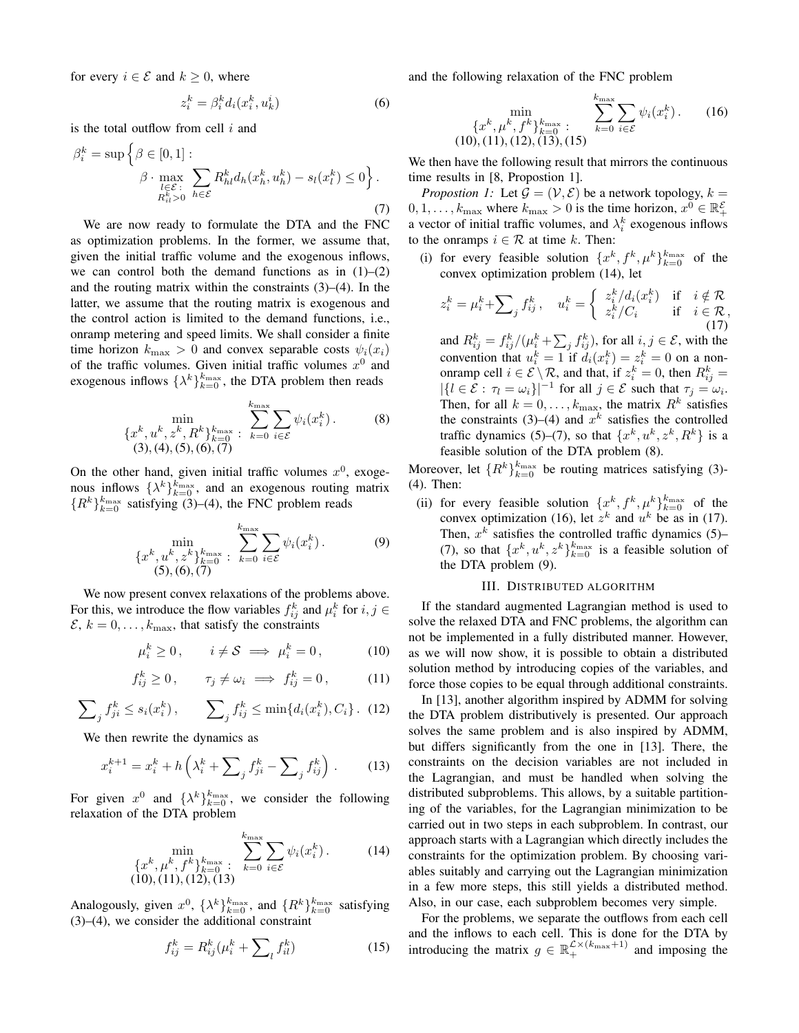for every  $i \in \mathcal{E}$  and  $k \geq 0$ , where

$$
z_i^k = \beta_i^k d_i(x_i^k, u_k^i)
$$
 (6)

is the total outflow from cell  $i$  and

$$
\beta_i^k = \sup \left\{ \beta \in [0, 1] : \beta \cdot \max_{\substack{l \in \mathcal{E} \\ R_{il}^k > 0}} \sum_{h \in \mathcal{E}} R_{hl}^k d_h(x_h^k, u_h^k) - s_l(x_l^k) \le 0 \right\}.
$$
\n(7)

We are now ready to formulate the DTA and the FNC as optimization problems. In the former, we assume that, given the initial traffic volume and the exogenous inflows, we can control both the demand functions as in  $(1)$ – $(2)$ and the routing matrix within the constraints  $(3)$ – $(4)$ . In the latter, we assume that the routing matrix is exogenous and the control action is limited to the demand functions, i.e., onramp metering and speed limits. We shall consider a finite time horizon  $k_{\text{max}} > 0$  and convex separable costs  $\psi_i(x_i)$ of the traffic volumes. Given initial traffic volumes  $x^0$  and exogenous inflows  $\{\lambda^k\}_{k=0}^{k_{\text{max}}}$ , the DTA problem then reads

$$
\begin{array}{ll}\n\min \\
\{x^k, u^k, z^k, R^k\}_{k=0}^{k_{\text{max}}} & \sum_{k=0}^{k_{\text{max}}} \sum_{i \in \mathcal{E}} \psi_i(x_i^k).\n\end{array} \tag{8}
$$
\n
$$
(3), (4), (5), (6), (7)
$$

On the other hand, given initial traffic volumes  $x^0$ , exogenous inflows  $\{\lambda^k\}_{k=0}^{k_{\text{max}}}$ , and an exogenous routing matrix  ${R^k}_{k=0}^{k_{\text{max}}}$  satisfying (3)–(4), the FNC problem reads

$$
\min_{\{x^k, u^k, z^k\}_{k=0}^k \atop (5), (6), (7)} \sum_{k=0}^{\text{kmax}} \sum_{i \in \mathcal{E}} \psi_i(x_i^k). \tag{9}
$$

We now present convex relaxations of the problems above. For this, we introduce the flow variables  $f_{ij}^k$  and  $\mu_i^k$  for  $i, j \in$  $\mathcal{E}, k = 0, \ldots, k_{\text{max}}$ , that satisfy the constraints

$$
\mu_i^k \ge 0, \qquad i \ne \mathcal{S} \implies \mu_i^k = 0, \tag{10}
$$

$$
f_{ij}^k \ge 0, \qquad \tau_j \ne \omega_i \implies f_{ij}^k = 0, \tag{11}
$$

$$
\sum_{j} f_{ji}^{k} \le s_i(x_i^k), \qquad \sum_{j} f_{ij}^{k} \le \min\{d_i(x_i^k), C_i\}.
$$
 (12)

We then rewrite the dynamics as

$$
x_i^{k+1} = x_i^k + h\left(\lambda_i^k + \sum_j f_{ji}^k - \sum_j f_{ij}^k\right).
$$
 (13)

For given  $x^0$  and  $\{\lambda^k\}_{k=0}^{k_{\text{max}}}$ , we consider the following relaxation of the DTA problem

$$
\min_{\{x^k, \mu^k, f^k\}_{k=0}^k : \sum_{k=0}^{k_{\text{max}}} \sum_{i \in \mathcal{E}} \psi_i(x_i^k).
$$
 (14)  
(10), (11), (12), (13)

Analogously, given  $x^0$ ,  $\{\lambda^k\}_{k=0}^{k_{\text{max}}}$ , and  $\{R^k\}_{k=0}^{k_{\text{max}}}$  satisfying (3)–(4), we consider the additional constraint

$$
f_{ij}^k = R_{ij}^k(\mu_i^k + \sum_l f_{il}^k)
$$
 (15)

and the following relaxation of the FNC problem

$$
\min_{\{x^k, \mu^k, f^k\}_{k=0}^{k_{\text{max}}}} \sum_{k=0}^{k_{\text{max}}} \sum_{i \in \mathcal{E}} \psi_i(x_i^k).
$$
 (16)  
(10), (11), (12), (13), (15)

We then have the following result that mirrors the continuous time results in [8, Propostion 1].

*Propostion 1:* Let  $\mathcal{G} = (\mathcal{V}, \mathcal{E})$  be a network topology,  $k =$  $0, 1, \ldots, k_{\text{max}}$  where  $k_{\text{max}} > 0$  is the time horizon,  $x^0 \in \mathbb{R}_+^{\mathcal{E}}$ a vector of initial traffic volumes, and  $\lambda_i^k$  exogenous inflows to the onramps  $i \in \mathcal{R}$  at time k. Then:

(i) for every feasible solution  $\{x^k, f^k, \mu^k\}_{k=0}^{k_{\text{max}}}$  of the convex optimization problem (14), let

$$
z_i^k = \mu_i^k + \sum_j f_{ij}^k, \quad u_i^k = \begin{cases} z_i^k / d_i(x_i^k) & \text{if} \quad i \notin \mathcal{R} \\ z_i^k / C_i & \text{if} \quad i \in \mathcal{R}, \\ 0 & \text{(17)} \end{cases}
$$

and  $R_{ij}^k = f_{ij}^k / (\mu_i^k + \sum_j f_{ij}^k)$ , for all  $i, j \in \mathcal{E}$ , with the convention that  $u_i^k = 1$  if  $d_i(x_i^k) = z_i^k = 0$  on a nononramp cell  $i \in \mathcal{E} \setminus \mathcal{R}$ , and that, if  $z_i^k = 0$ , then  $R_{ij}^k =$  $|\{l \in \mathcal{E} : \tau_l = \omega_i\}|^{-1}$  for all  $j \in \mathcal{E}$  such that  $\tau_j = \omega_i$ . Then, for all  $k = 0, \ldots, k_{\text{max}}$ , the matrix  $R^k$  satisfies the constraints (3)–(4) and  $x^k$  satisfies the controlled traffic dynamics (5)–(7), so that  $\{x^k, u^k, z^k, R^k\}$  is a feasible solution of the DTA problem (8).

Moreover, let  $\{R^k\}_{k=0}^{k_{\text{max}}}$  be routing matrices satisfying (3)-(4). Then:

(ii) for every feasible solution  $\{x^k, f^k, \mu^k\}_{k=0}^{k_{\text{max}}}$  of the convex optimization (16), let  $z^k$  and  $u^k$  be as in (17). Then,  $x^k$  satisfies the controlled traffic dynamics (5)– (7), so that  $\{x^k, u^k, z^k\}_{k=0}^{k_{\text{max}}}$  is a feasible solution of the DTA problem (9).

#### III. DISTRIBUTED ALGORITHM

If the standard augmented Lagrangian method is used to solve the relaxed DTA and FNC problems, the algorithm can not be implemented in a fully distributed manner. However, as we will now show, it is possible to obtain a distributed solution method by introducing copies of the variables, and force those copies to be equal through additional constraints.

In [13], another algorithm inspired by ADMM for solving the DTA problem distributively is presented. Our approach solves the same problem and is also inspired by ADMM, but differs significantly from the one in [13]. There, the constraints on the decision variables are not included in the Lagrangian, and must be handled when solving the distributed subproblems. This allows, by a suitable partitioning of the variables, for the Lagrangian minimization to be carried out in two steps in each subproblem. In contrast, our approach starts with a Lagrangian which directly includes the constraints for the optimization problem. By choosing variables suitably and carrying out the Lagrangian minimization in a few more steps, this still yields a distributed method. Also, in our case, each subproblem becomes very simple.

For the problems, we separate the outflows from each cell and the inflows to each cell. This is done for the DTA by introducing the matrix  $g \in \mathbb{R}_+^{\mathcal{L} \times (k_{\text{max}}+1)}$  and imposing the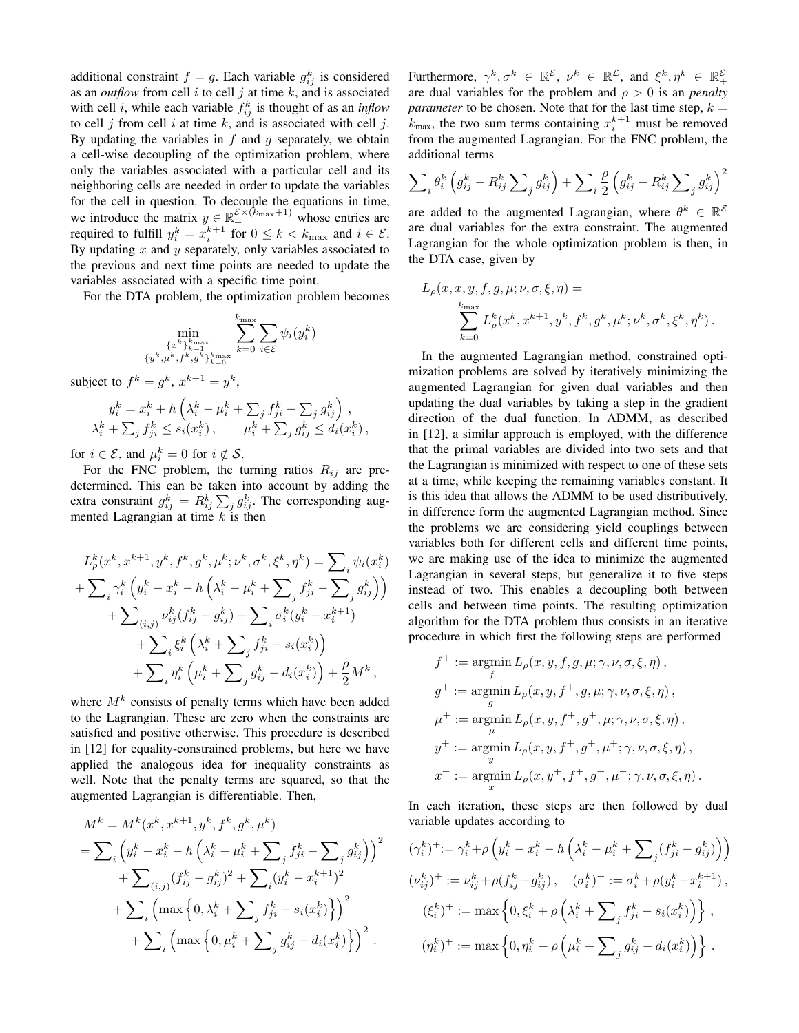additional constraint  $f = g$ . Each variable  $g_{ij}^k$  is considered as an *outflow* from cell  $i$  to cell  $j$  at time  $k$ , and is associated with cell *i*, while each variable  $f_{ij}^k$  is thought of as an *inflow* to cell  $j$  from cell  $i$  at time  $k$ , and is associated with cell  $j$ . By updating the variables in  $f$  and  $g$  separately, we obtain a cell-wise decoupling of the optimization problem, where only the variables associated with a particular cell and its neighboring cells are needed in order to update the variables for the cell in question. To decouple the equations in time, we introduce the matrix  $y \in \mathbb{R}_+^{\mathcal{E} \times (k_{\text{max}}+1)}$  whose entries are required to fulfill  $y_i^k = x_i^{k+1}$  for  $0 \le k < k_{\text{max}}$  and  $i \in \mathcal{E}$ . By updating  $x$  and  $y$  separately, only variables associated to the previous and next time points are needed to update the variables associated with a specific time point.

For the DTA problem, the optimization problem becomes

$$
\min_{\substack{\{x^k\}_{k=1}^k \ y^k, \mu^k, f^k, g^k\}_{k=0}^k} \sum_{k=0}^{k_{\text{max}}} \sum_{i \in \mathcal{E}} \psi_i(y_i^k)
$$

subject to  $f^k = g^k$ ,  $x^{k+1} = y^k$ ,

$$
y_i^k = x_i^k + h\left(\lambda_i^k - \mu_i^k + \sum_j f_{ji}^k - \sum_j g_{ij}^k\right),
$$
  

$$
\lambda_i^k + \sum_j f_{ji}^k \le s_i(x_i^k), \qquad \mu_i^k + \sum_j g_{ij}^k \le d_i(x_i^k),
$$

for  $i \in \mathcal{E}$ , and  $\mu_i^k = 0$  for  $i \notin \mathcal{S}$ .

For the FNC problem, the turning ratios  $R_{ij}$  are predetermined. This can be taken into account by adding the extra constraint  $g_{ij}^k = R_{ij}^k \sum_j g_{ij}^k$ . The corresponding augmented Lagrangian at time  $k$  is then

$$
L_{\rho}^{k}(x^{k}, x^{k+1}, y^{k}, f^{k}, g^{k}, \mu^{k}; \nu^{k}, \sigma^{k}, \xi^{k}, \eta^{k}) = \sum_{i} \psi_{i}(x_{i}^{k})
$$
  
+
$$
\sum_{i} \gamma_{i}^{k} \left( y_{i}^{k} - x_{i}^{k} - h \left( \lambda_{i}^{k} - \mu_{i}^{k} + \sum_{j} f_{ji}^{k} - \sum_{j} g_{ij}^{k} \right) \right)
$$
  
+
$$
\sum_{(i,j)} \psi_{ij}^{k}(f_{ij}^{k} - g_{ij}^{k}) + \sum_{i} \sigma_{i}^{k}(y_{i}^{k} - x_{i}^{k+1})
$$
  
+
$$
\sum_{i} \xi_{i}^{k} \left( \lambda_{i}^{k} + \sum_{j} f_{ji}^{k} - s_{i}(x_{i}^{k}) \right)
$$
  
+
$$
\sum_{i} \eta_{i}^{k} \left( \mu_{i}^{k} + \sum_{j} g_{ij}^{k} - d_{i}(x_{i}^{k}) \right) + \frac{\rho}{2} M^{k},
$$

where  $M^k$  consists of penalty terms which have been added to the Lagrangian. These are zero when the constraints are satisfied and positive otherwise. This procedure is described in [12] for equality-constrained problems, but here we have applied the analogous idea for inequality constraints as well. Note that the penalty terms are squared, so that the augmented Lagrangian is differentiable. Then,

$$
M^{k} = M^{k}(x^{k}, x^{k+1}, y^{k}, f^{k}, g^{k}, \mu^{k})
$$
  
=  $\sum_{i} (y_{i}^{k} - x_{i}^{k} - h\left(\lambda_{i}^{k} - \mu_{i}^{k} + \sum_{j} f_{ji}^{k} - \sum_{j} g_{ij}^{k}\right))^{2}$   
+  $\sum_{(i,j)} (f_{ij}^{k} - g_{ij}^{k})^{2} + \sum_{i} (y_{i}^{k} - x_{i}^{k+1})^{2}$   
+  $\sum_{i} (\max\left\{0, \lambda_{i}^{k} + \sum_{j} f_{ji}^{k} - s_{i}(x_{i}^{k})\right\})^{2}$   
+  $\sum_{i} (\max\left\{0, \mu_{i}^{k} + \sum_{j} g_{ij}^{k} - d_{i}(x_{i}^{k})\right\})^{2}$ .

Furthermore,  $\gamma^k, \sigma^k \in \mathbb{R}^{\mathcal{E}}, \nu^k \in \mathbb{R}^{\mathcal{L}}, \text{ and } \xi^k, \eta^k \in \mathbb{R}^{\mathcal{E}}_+$ are dual variables for the problem and  $\rho > 0$  is an *penalty parameter* to be chosen. Note that for the last time step,  $k =$  $k_{\text{max}}$ , the two sum terms containing  $x_i^{k+1}$  must be removed from the augmented Lagrangian. For the FNC problem, the additional terms

$$
\sum\nolimits_i \theta_i^k \left(g_{ij}^k - R_{ij}^k\sum\nolimits_j g_{ij}^k\right) + \sum\nolimits_i \frac{\rho}{2} \left(g_{ij}^k - R_{ij}^k\sum\nolimits_j g_{ij}^k\right)^2
$$

are added to the augmented Lagrangian, where  $\theta^k \in \mathbb{R}^{\mathcal{E}}$ are dual variables for the extra constraint. The augmented Lagrangian for the whole optimization problem is then, in the DTA case, given by

$$
L_{\rho}(x, x, y, f, g, \mu; \nu, \sigma, \xi, \eta) =
$$
  

$$
\sum_{k=0}^{k_{\text{max}}} L_{\rho}^{k}(x^{k}, x^{k+1}, y^{k}, f^{k}, g^{k}, \mu^{k}; \nu^{k}, \sigma^{k}, \xi^{k}, \eta^{k}).
$$

In the augmented Lagrangian method, constrained optimization problems are solved by iteratively minimizing the augmented Lagrangian for given dual variables and then updating the dual variables by taking a step in the gradient direction of the dual function. In ADMM, as described in [12], a similar approach is employed, with the difference that the primal variables are divided into two sets and that the Lagrangian is minimized with respect to one of these sets at a time, while keeping the remaining variables constant. It is this idea that allows the ADMM to be used distributively, in difference form the augmented Lagrangian method. Since the problems we are considering yield couplings between variables both for different cells and different time points, we are making use of the idea to minimize the augmented Lagrangian in several steps, but generalize it to five steps instead of two. This enables a decoupling both between cells and between time points. The resulting optimization algorithm for the DTA problem thus consists in an iterative procedure in which first the following steps are performed

$$
\begin{aligned} f^+ &:= \mathop{\rm argmin}_{f} L_{\rho}(x, y, f, g, \mu; \gamma, \nu, \sigma, \xi, \eta) \,, \\ g^+ &:= \mathop{\rm argmin}_{g} L_{\rho}(x, y, f^+, g, \mu; \gamma, \nu, \sigma, \xi, \eta) \,, \\ \mu^+ &:= \mathop{\rm argmin}_{\mu} L_{\rho}(x, y, f^+, g^+, \mu; \gamma, \nu, \sigma, \xi, \eta) \,, \\ y^+ &:= \mathop{\rm argmin}_{y} L_{\rho}(x, y, f^+, g^+, \mu^+; \gamma, \nu, \sigma, \xi, \eta) \,, \\ x^+ &:= \mathop{\rm argmin}_{x} L_{\rho}(x, y^+, f^+, g^+, \mu^+; \gamma, \nu, \sigma, \xi, \eta) \,. \end{aligned}
$$

In each iteration, these steps are then followed by dual variable updates according to

$$
(\gamma_i^k)^+ := \gamma_i^k + \rho \left( y_i^k - x_i^k - h \left( \lambda_i^k - \mu_i^k + \sum_j (f_{ji}^k - g_{ij}^k) \right) \right)
$$
  
\n
$$
(\nu_{ij}^k)^+ := \nu_{ij}^k + \rho (f_{ij}^k - g_{ij}^k), \quad (\sigma_i^k)^+ := \sigma_i^k + \rho (y_i^k - x_i^{k+1}),
$$
  
\n
$$
(\xi_i^k)^+ := \max \left\{ 0, \xi_i^k + \rho \left( \lambda_i^k + \sum_j f_{ji}^k - s_i(x_i^k) \right) \right\},
$$
  
\n
$$
(\eta_i^k)^+ := \max \left\{ 0, \eta_i^k + \rho \left( \mu_i^k + \sum_j g_{ij}^k - d_i(x_i^k) \right) \right\}.
$$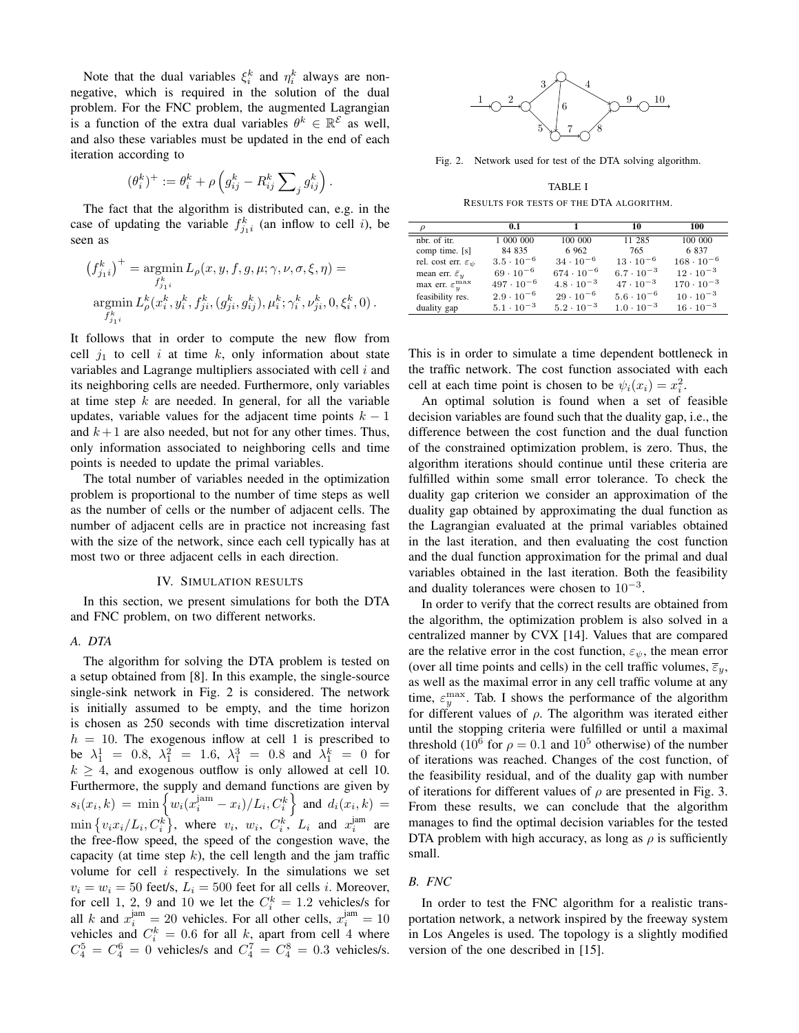Note that the dual variables  $\xi_i^k$  and  $\eta_i^k$  always are nonnegative, which is required in the solution of the dual problem. For the FNC problem, the augmented Lagrangian is a function of the extra dual variables  $\theta^k \in \mathbb{R}^{\mathcal{E}}$  as well, and also these variables must be updated in the end of each iteration according to

$$
(\theta_i^k)^+ := \theta_i^k + \rho \left( g_{ij}^k - R_{ij}^k \sum\nolimits_j g_{ij}^k \right).
$$

The fact that the algorithm is distributed can, e.g. in the case of updating the variable  $f_{j_1i}^k$  (an inflow to cell i), be seen as

$$
(f_{j_1i}^k)^+ = \operatorname*{argmin}_{f_{j_1i}^k} L_{\rho}(x, y, f, g, \mu; \gamma, \nu, \sigma, \xi, \eta) =
$$
  
argmin
$$
L_{\rho}^k(x_i^k, y_i^k, f_{ji}^k, (g_{ji}^k, g_{ij}^k), \mu_i^k; \gamma_i^k, \nu_{ji}^k, 0, \xi_i^k, 0).
$$
  

$$
f_{j_1i}^k
$$

It follows that in order to compute the new flow from cell  $i_1$  to cell i at time k, only information about state variables and Lagrange multipliers associated with cell  $i$  and its neighboring cells are needed. Furthermore, only variables at time step  $k$  are needed. In general, for all the variable updates, variable values for the adjacent time points  $k - 1$ and  $k+1$  are also needed, but not for any other times. Thus, only information associated to neighboring cells and time points is needed to update the primal variables.

The total number of variables needed in the optimization problem is proportional to the number of time steps as well as the number of cells or the number of adjacent cells. The number of adjacent cells are in practice not increasing fast with the size of the network, since each cell typically has at most two or three adjacent cells in each direction.

## IV. SIMULATION RESULTS

In this section, we present simulations for both the DTA and FNC problem, on two different networks.

## *A. DTA*

The algorithm for solving the DTA problem is tested on a setup obtained from [8]. In this example, the single-source single-sink network in Fig. 2 is considered. The network is initially assumed to be empty, and the time horizon is chosen as 250 seconds with time discretization interval  $h = 10$ . The exogenous inflow at cell 1 is prescribed to be  $\lambda_1^1 = 0.8$ ,  $\lambda_1^2 = 1.6$ ,  $\lambda_1^3 = 0.8$  and  $\lambda_1^k = 0$  for  $k \geq 4$ , and exogenous outflow is only allowed at cell 10. Furthermore, the supply and demand functions are given by  $s_i(x_i, k) = \min \left\{ w_i(x_i^{\text{jam}} - x_i)/L_i, C_i^k \right\}$  and  $d_i(x_i, k) =$  $\min\left\{v_i x_i/L_i, C_i^k\right\}$ , where  $v_i$ ,  $w_i$ ,  $C_i^k$ ,  $L_i$  and  $x_i^{\text{jam}}$  are the free-flow speed, the speed of the congestion wave, the capacity (at time step  $k$ ), the cell length and the jam traffic volume for cell  $i$  respectively. In the simulations we set  $v_i = w_i = 50$  feet/s,  $L_i = 500$  feet for all cells *i*. Moreover, for cell 1, 2, 9 and 10 we let the  $C_i^k = 1.2$  vehicles/s for all k and  $x_i^{jam} = 20$  vehicles. For all other cells,  $x_i^{jam} = 10$ vehicles and  $C_i^k = 0.6$  for all k, apart from cell 4 where  $C_4^5 = C_4^6 = 0$  vehicles/s and  $C_4^7 = C_4^8 = 0.3$  vehicles/s.



Fig. 2. Network used for test of the DTA solving algorithm.

TABLE I RESULTS FOR TESTS OF THE DTA ALGORITHM.

| ρ                                     | 0.1                 | 1                   | 10                  | 100                 |
|---------------------------------------|---------------------|---------------------|---------------------|---------------------|
| nbr. of itr.                          | 1 000 000           | 100 000             | 11 285              | 100 000             |
| comp time. [s]                        | 84 835              | 6 9 6 2             | 765                 | 6837                |
| rel. cost err. $\varepsilon_{\psi}$   | $3.5 \cdot 10^{-6}$ | $34 \cdot 10^{-6}$  | $13 \cdot 10^{-6}$  | $168 \cdot 10^{-6}$ |
| mean err. $\bar{\varepsilon}_u$       | $69 \cdot 10^{-6}$  | $674 \cdot 10^{-6}$ | $6.7 \cdot 10^{-3}$ | $12 \cdot 10^{-3}$  |
| max err. $\varepsilon_y^{\text{max}}$ | $497 \cdot 10^{-6}$ | $4.8 \cdot 10^{-3}$ | $47 \cdot 10^{-3}$  | $170 \cdot 10^{-3}$ |
| feasibility res.                      | $2.9 \cdot 10^{-6}$ | $29 \cdot 10^{-6}$  | $5.6 \cdot 10^{-6}$ | $10 \cdot 10^{-3}$  |
| duality gap                           | $5.1 \cdot 10^{-3}$ | $5.2 \cdot 10^{-3}$ | $1.0 \cdot 10^{-3}$ | $16 \cdot 10^{-3}$  |

This is in order to simulate a time dependent bottleneck in the traffic network. The cost function associated with each cell at each time point is chosen to be  $\psi_i(x_i) = x_i^2$ .

An optimal solution is found when a set of feasible decision variables are found such that the duality gap, i.e., the difference between the cost function and the dual function of the constrained optimization problem, is zero. Thus, the algorithm iterations should continue until these criteria are fulfilled within some small error tolerance. To check the duality gap criterion we consider an approximation of the duality gap obtained by approximating the dual function as the Lagrangian evaluated at the primal variables obtained in the last iteration, and then evaluating the cost function and the dual function approximation for the primal and dual variables obtained in the last iteration. Both the feasibility and duality tolerances were chosen to  $10^{-3}$ .

In order to verify that the correct results are obtained from the algorithm, the optimization problem is also solved in a centralized manner by CVX [14]. Values that are compared are the relative error in the cost function,  $\varepsilon_{\psi}$ , the mean error (over all time points and cells) in the cell traffic volumes,  $\overline{\varepsilon}_v$ , as well as the maximal error in any cell traffic volume at any time,  $\varepsilon_y^{\text{max}}$ . Tab. I shows the performance of the algorithm for different values of  $\rho$ . The algorithm was iterated either until the stopping criteria were fulfilled or until a maximal threshold (10<sup>6</sup> for  $\rho = 0.1$  and 10<sup>5</sup> otherwise) of the number of iterations was reached. Changes of the cost function, of the feasibility residual, and of the duality gap with number of iterations for different values of  $\rho$  are presented in Fig. 3. From these results, we can conclude that the algorithm manages to find the optimal decision variables for the tested DTA problem with high accuracy, as long as  $\rho$  is sufficiently small.

## *B. FNC*

In order to test the FNC algorithm for a realistic transportation network, a network inspired by the freeway system in Los Angeles is used. The topology is a slightly modified version of the one described in [15].